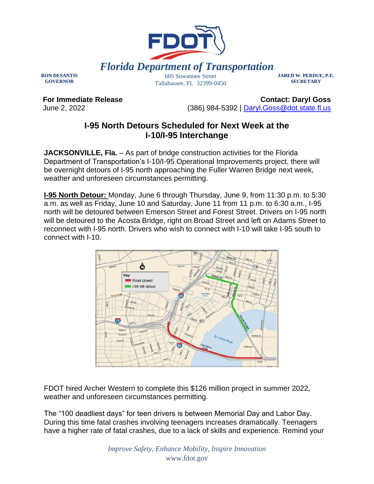

**RON DESANTIS GOVERNOR**

605 Suwannee Street Tallahassee, FL 32399-0450 **JARED W. PERDUE, P.E. SECRETARY**

**For Immediate Release** June 2, 2022

**Contact: Daryl Goss** (386) 984-5392 | [Daryl.Goss@dot.state.fl.us](mailto:Daryl.Goss@dot.state.fl.us)

## **I-95 North Detours Scheduled for Next Week at the I-10/I-95 Interchange**

**JACKSONVILLE, Fla.** – As part of bridge construction activities for the Florida Department of Transportation's I-10/I-95 Operational Improvements project, there will be overnight detours of I-95 north approaching the Fuller Warren Bridge next week, weather and unforeseen circumstances permitting.

**I-95 North Detour:** Monday, June 6 through Thursday, June 9, from 11:30 p.m. to 5:30 a.m. as well as Friday, June 10 and Saturday, June 11 from 11 p.m. to 6:30 a.m., I-95 north will be detoured between Emerson Street and Forest Street. Drivers on I-95 north will be detoured to the Acosta Bridge, right on Broad Street and left on Adams Street to reconnect with I-95 north. Drivers who wish to connect with I-10 will take I-95 south to connect with I-10.



FDOT hired Archer Western to complete this \$126 million project in summer 2022, weather and unforeseen circumstances permitting.

The "100 deadliest days" for teen drivers is between Memorial Day and Labor Day. During this time fatal crashes involving teenagers increases dramatically. Teenagers have a higher rate of fatal crashes, due to a lack of skills and experience. Remind your

> *Improve Safety, Enhance Mobility, Inspire Innovation* www.fdot.gov